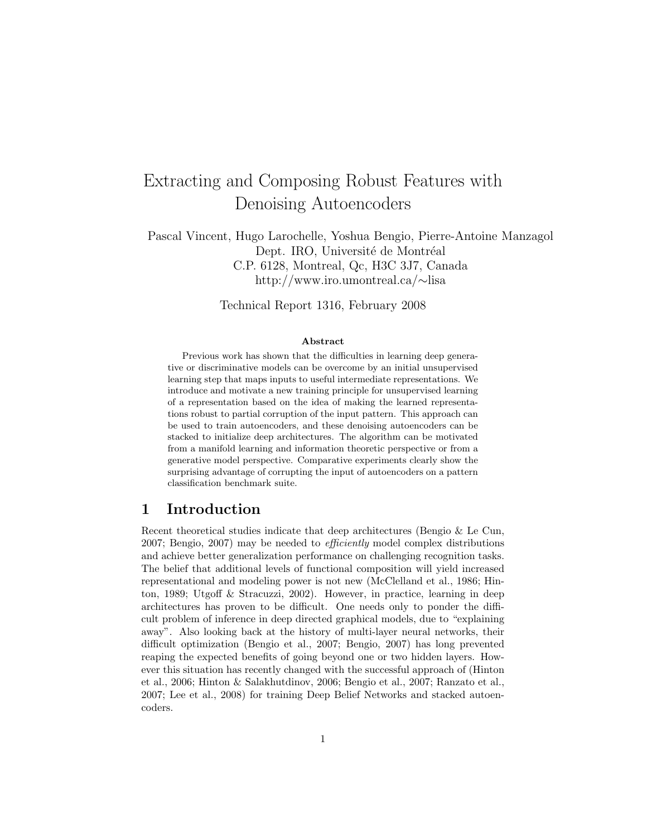# Extracting and Composing Robust Features with Denoising Autoencoders

Pascal Vincent, Hugo Larochelle, Yoshua Bengio, Pierre-Antoine Manzagol Dept. IRO, Université de Montréal C.P. 6128, Montreal, Qc, H3C 3J7, Canada http://www.iro.umontreal.ca/∼lisa

Technical Report 1316, February 2008

#### Abstract

Previous work has shown that the difficulties in learning deep generative or discriminative models can be overcome by an initial unsupervised learning step that maps inputs to useful intermediate representations. We introduce and motivate a new training principle for unsupervised learning of a representation based on the idea of making the learned representations robust to partial corruption of the input pattern. This approach can be used to train autoencoders, and these denoising autoencoders can be stacked to initialize deep architectures. The algorithm can be motivated from a manifold learning and information theoretic perspective or from a generative model perspective. Comparative experiments clearly show the surprising advantage of corrupting the input of autoencoders on a pattern classification benchmark suite.

# 1 Introduction

Recent theoretical studies indicate that deep architectures (Bengio & Le Cun, 2007; Bengio, 2007) may be needed to *efficiently* model complex distributions and achieve better generalization performance on challenging recognition tasks. The belief that additional levels of functional composition will yield increased representational and modeling power is not new (McClelland et al., 1986; Hinton, 1989; Utgoff & Stracuzzi, 2002). However, in practice, learning in deep architectures has proven to be difficult. One needs only to ponder the difficult problem of inference in deep directed graphical models, due to "explaining away". Also looking back at the history of multi-layer neural networks, their difficult optimization (Bengio et al., 2007; Bengio, 2007) has long prevented reaping the expected benefits of going beyond one or two hidden layers. However this situation has recently changed with the successful approach of (Hinton et al., 2006; Hinton & Salakhutdinov, 2006; Bengio et al., 2007; Ranzato et al., 2007; Lee et al., 2008) for training Deep Belief Networks and stacked autoencoders.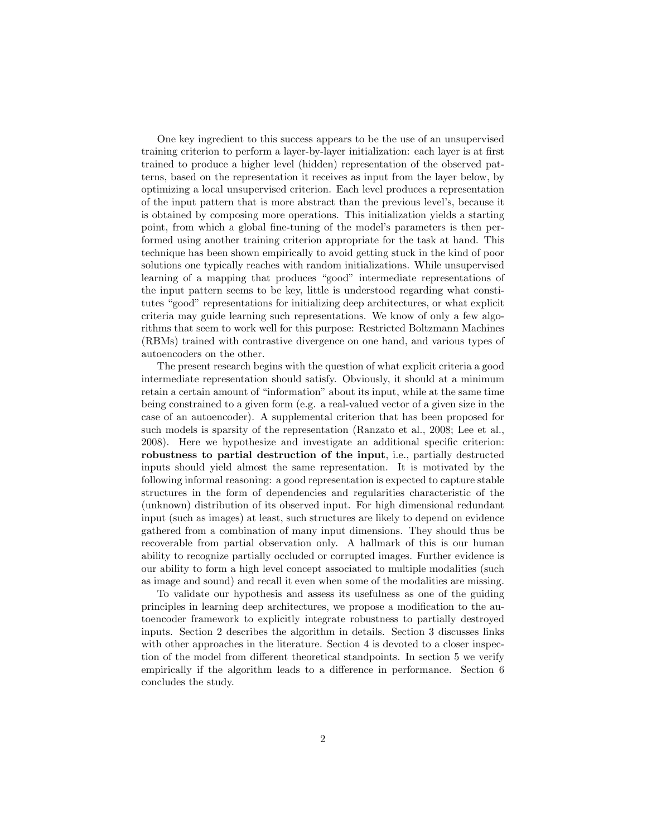One key ingredient to this success appears to be the use of an unsupervised training criterion to perform a layer-by-layer initialization: each layer is at first trained to produce a higher level (hidden) representation of the observed patterns, based on the representation it receives as input from the layer below, by optimizing a local unsupervised criterion. Each level produces a representation of the input pattern that is more abstract than the previous level's, because it is obtained by composing more operations. This initialization yields a starting point, from which a global fine-tuning of the model's parameters is then performed using another training criterion appropriate for the task at hand. This technique has been shown empirically to avoid getting stuck in the kind of poor solutions one typically reaches with random initializations. While unsupervised learning of a mapping that produces "good" intermediate representations of the input pattern seems to be key, little is understood regarding what constitutes "good" representations for initializing deep architectures, or what explicit criteria may guide learning such representations. We know of only a few algorithms that seem to work well for this purpose: Restricted Boltzmann Machines (RBMs) trained with contrastive divergence on one hand, and various types of autoencoders on the other.

The present research begins with the question of what explicit criteria a good intermediate representation should satisfy. Obviously, it should at a minimum retain a certain amount of "information" about its input, while at the same time being constrained to a given form (e.g. a real-valued vector of a given size in the case of an autoencoder). A supplemental criterion that has been proposed for such models is sparsity of the representation (Ranzato et al., 2008; Lee et al., 2008). Here we hypothesize and investigate an additional specific criterion: robustness to partial destruction of the input, i.e., partially destructed inputs should yield almost the same representation. It is motivated by the following informal reasoning: a good representation is expected to capture stable structures in the form of dependencies and regularities characteristic of the (unknown) distribution of its observed input. For high dimensional redundant input (such as images) at least, such structures are likely to depend on evidence gathered from a combination of many input dimensions. They should thus be recoverable from partial observation only. A hallmark of this is our human ability to recognize partially occluded or corrupted images. Further evidence is our ability to form a high level concept associated to multiple modalities (such as image and sound) and recall it even when some of the modalities are missing.

To validate our hypothesis and assess its usefulness as one of the guiding principles in learning deep architectures, we propose a modification to the autoencoder framework to explicitly integrate robustness to partially destroyed inputs. Section 2 describes the algorithm in details. Section 3 discusses links with other approaches in the literature. Section 4 is devoted to a closer inspection of the model from different theoretical standpoints. In section 5 we verify empirically if the algorithm leads to a difference in performance. Section 6 concludes the study.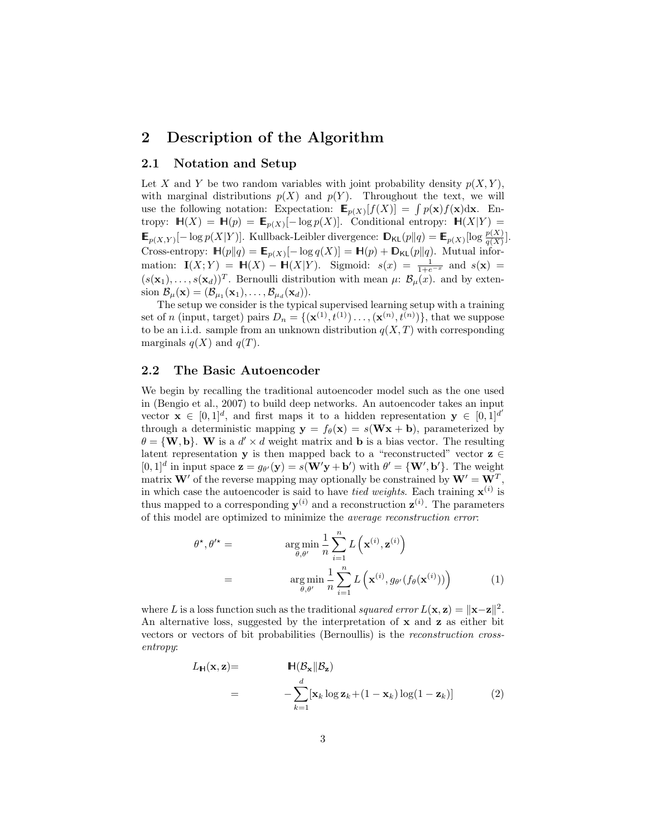# 2 Description of the Algorithm

### 2.1 Notation and Setup

Let X and Y be two random variables with joint probability density  $p(X, Y)$ , with marginal distributions  $p(X)$  and  $p(Y)$ . Throughout the text, we will use the following notation: Expectation:  $\mathbf{E}_{p(X)}[f(X)] = \int p(\mathbf{x})f(\mathbf{x})d\mathbf{x}$ . Entropy:  $\mathbb{H}(X) = \mathbb{H}(p) = \mathbb{E}_{p(X)}[-\log p(X)].$  Conditional entropy:  $\mathbb{H}(X|Y) =$  $\mathbb{E}_{p(X,Y)}[-\log p(X|Y)].$  Kullback-Leibler divergence:  $\mathbb{D}_{\mathsf{KL}}(p||q) = \mathbb{E}_{p(X)}[\log \frac{p(X)}{q(X)}].$ Cross-entropy:  $\mathbb{H}(p||q) = \mathbb{E}_{p(X)}[-\log q(X)] = \mathbb{H}(p) + \mathbb{D}_{\mathsf{KL}}(p||q)$ . Mutual information:  $\mathbf{I}(X;Y) = \mathbf{H}(X) - \mathbf{H}(X|Y)$ . Sigmoid:  $s(x) = \frac{1}{1+e^{-x}}$  and  $s(\mathbf{x}) =$  $(s(\mathbf{x}_1),\ldots,s(\mathbf{x}_d))^T$ . Bernoulli distribution with mean  $\mu: \mathcal{B}_{\mu}(x)$ . and by extension  $\mathcal{B}_{\mu}(\mathbf{x}) = (\mathcal{B}_{\mu_1}(\mathbf{x}_1), \dots, \mathcal{B}_{\mu_d}(\mathbf{x}_d)).$ 

The setup we consider is the typical supervised learning setup with a training set of *n* (input, target) pairs  $D_n = \{(\mathbf{x}^{(1)}, t^{(1)}) \dots, (\mathbf{x}^{(n)}, t^{(n)})\}$ , that we suppose to be an i.i.d. sample from an unknown distribution  $q(X,T)$  with corresponding marginals  $q(X)$  and  $q(T)$ .

#### 2.2 The Basic Autoencoder

We begin by recalling the traditional autoencoder model such as the one used in (Bengio et al., 2007) to build deep networks. An autoencoder takes an input vector  $\mathbf{x} \in [0,1]^d$ , and first maps it to a hidden representation  $\mathbf{y} \in [0,1]^d$ through a deterministic mapping  $y = f_{\theta}(x) = s(Wx + b)$ , parameterized by  $\theta = \{W, \mathbf{b}\}\.$  W is a  $d' \times d$  weight matrix and **b** is a bias vector. The resulting latent representation y is then mapped back to a "reconstructed" vector  $z \in$  $[0,1]^d$  in input space  $\mathbf{z} = g_{\theta'}(\mathbf{y}) = s(\mathbf{W}'\mathbf{y} + \mathbf{b}')$  with  $\theta' = {\mathbf{W}', \mathbf{b}'}.$  The weight matrix **W**' of the reverse mapping may optionally be constrained by  $W' = W^T$ , in which case the autoencoder is said to have *tied weights*. Each training  $\mathbf{x}^{(i)}$  is thus mapped to a corresponding  $y^{(i)}$  and a reconstruction  $z^{(i)}$ . The parameters of this model are optimized to minimize the average reconstruction error:

$$
\theta^{\star}, \theta^{\prime \star} = \argmin_{\theta, \theta^{\prime}} \frac{1}{n} \sum_{i=1}^{n} L\left(\mathbf{x}^{(i)}, \mathbf{z}^{(i)}\right)
$$

$$
= \argmin_{\theta, \theta^{\prime}} \frac{1}{n} \sum_{i=1}^{n} L\left(\mathbf{x}^{(i)}, g_{\theta^{\prime}}(f_{\theta}(\mathbf{x}^{(i)}))\right) \tag{1}
$$

where L is a loss function such as the traditional squared error  $L(\mathbf{x}, \mathbf{z}) = ||\mathbf{x} - \mathbf{z}||^2$ . An alternative loss, suggested by the interpretation of  $x$  and  $z$  as either bit vectors or vectors of bit probabilities (Bernoullis) is the reconstruction crossentropy:

$$
L_{\mathbf{H}}(\mathbf{x}, \mathbf{z}) = \mathbf{H}(\mathcal{B}_{\mathbf{x}} \| \mathcal{B}_{\mathbf{z}})
$$
  
= 
$$
- \sum_{k=1}^{d} [\mathbf{x}_k \log \mathbf{z}_k + (1 - \mathbf{x}_k) \log(1 - \mathbf{z}_k)]
$$
(2)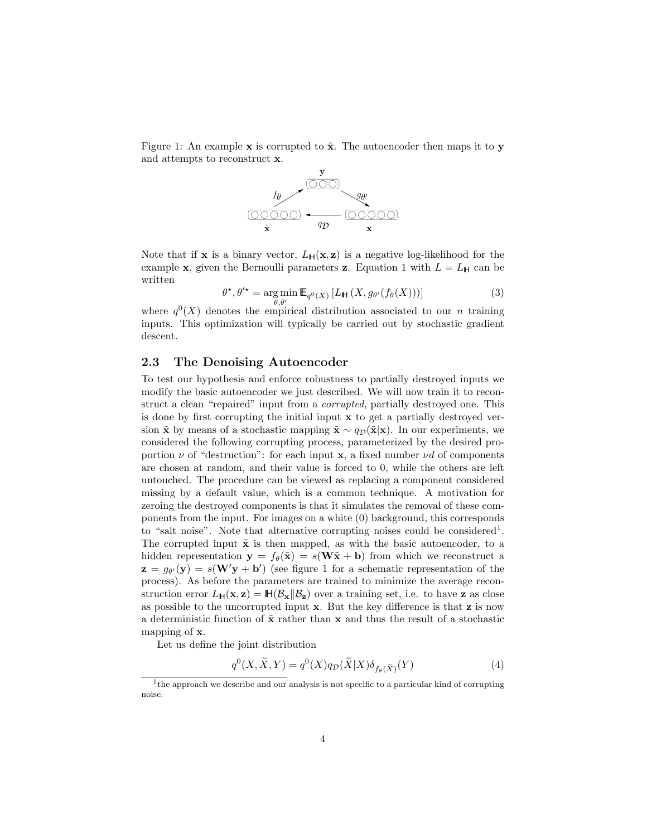Figure 1: An example  $x$  is corrupted to  $\tilde{x}$ . The autoencoder then maps it to y and attempts to reconstruct x.



Note that if **x** is a binary vector,  $L_H(\mathbf{x}, \mathbf{z})$  is a negative log-likelihood for the example x, given the Bernoulli parameters z. Equation 1 with  $L = L_H$  can be written

$$
\theta^{\star}, \theta^{\prime \star} = \underset{\theta, \theta^{\prime}}{\arg \min} \mathbb{E}_{q^{0}(X)} \left[ L_{\mathsf{H}} \left( X, g_{\theta^{\prime}}(f_{\theta}(X)) \right) \right]
$$
(3)

where  $q^{0}(X)$  denotes the empirical distribution associated to our *n* training inputs. This optimization will typically be carried out by stochastic gradient descent.

#### 2.3 The Denoising Autoencoder

To test our hypothesis and enforce robustness to partially destroyed inputs we modify the basic autoencoder we just described. We will now train it to reconstruct a clean "repaired" input from a corrupted, partially destroyed one. This is done by first corrupting the initial input x to get a partially destroyed version  $\tilde{x}$  by means of a stochastic mapping  $\tilde{x} \sim q_D(\tilde{x}|\mathbf{x})$ . In our experiments, we considered the following corrupting process, parameterized by the desired proportion  $\nu$  of "destruction": for each input **x**, a fixed number  $\nu d$  of components are chosen at random, and their value is forced to 0, while the others are left untouched. The procedure can be viewed as replacing a component considered missing by a default value, which is a common technique. A motivation for zeroing the destroyed components is that it simulates the removal of these components from the input. For images on a white (0) background, this corresponds to "salt noise". Note that alternative corrupting noises could be considered<sup>1</sup>. The corrupted input  $\tilde{\mathbf{x}}$  is then mapped, as with the basic autoencoder, to a hidden representation  $y = f_{\theta}(\tilde{x}) = s(W\tilde{x} + b)$  from which we reconstruct a  $\mathbf{z} = g_{\theta'}(\mathbf{y}) = s(\mathbf{W}'\mathbf{y} + \mathbf{b}')$  (see figure 1 for a schematic representation of the process). As before the parameters are trained to minimize the average reconstruction error  $L_{\mathbf{H}}(\mathbf{x}, \mathbf{z}) = \mathbf{H}(\mathcal{B}_{\mathbf{x}} || \mathcal{B}_{\mathbf{z}})$  over a training set, i.e. to have **z** as close as possible to the uncorrupted input  $x$ . But the key difference is that  $z$  is now a deterministic function of  $\tilde{\mathbf{x}}$  rather than  $\mathbf{x}$  and thus the result of a stochastic mapping of x.

Let us define the joint distribution

$$
q^{0}(X,\widetilde{X},Y) = q^{0}(X)q_{\mathcal{D}}(\widetilde{X}|X)\delta_{f_{\theta}(\widetilde{X})}(Y)
$$
\n(4)

<sup>&</sup>lt;sup>1</sup>the approach we describe and our analysis is not specific to a particular kind of corrupting noise.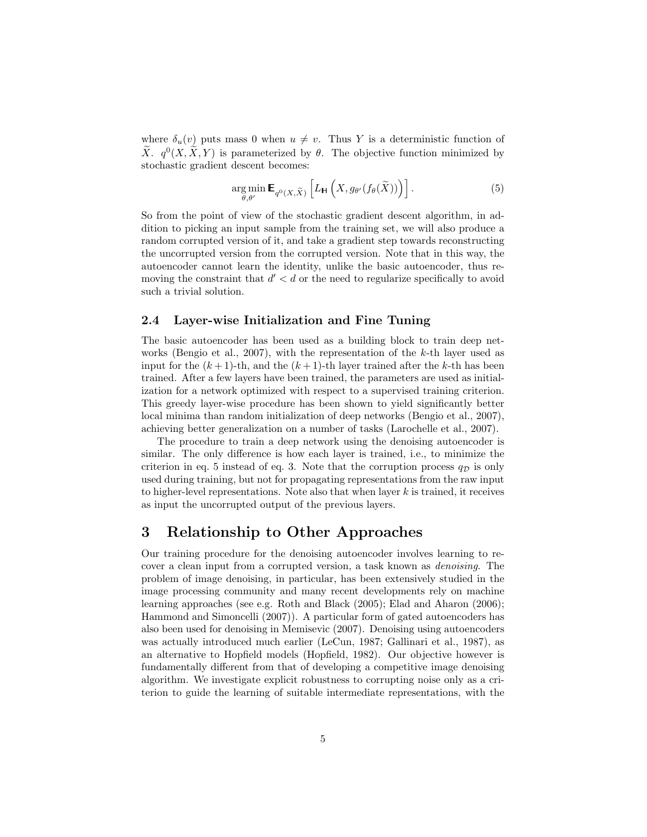where  $\delta_u(v)$  puts mass 0 when  $u \neq v$ . Thus Y is a deterministic function of  $\widetilde{X}$ .  $q^{0}(X, \widetilde{X}, Y)$  is parameterized by  $\theta$ . The objective function minimized by stochastic gradient descent becomes:

$$
\underset{\theta,\theta'}{\arg\min} \mathbf{E}_{q^0(X,\widetilde{X})} \left[ L_{\mathbf{H}} \left( X, g_{\theta'}(f_{\theta}(\widetilde{X})) \right) \right]. \tag{5}
$$

So from the point of view of the stochastic gradient descent algorithm, in addition to picking an input sample from the training set, we will also produce a random corrupted version of it, and take a gradient step towards reconstructing the uncorrupted version from the corrupted version. Note that in this way, the autoencoder cannot learn the identity, unlike the basic autoencoder, thus removing the constraint that  $d' < d$  or the need to regularize specifically to avoid such a trivial solution.

#### 2.4 Layer-wise Initialization and Fine Tuning

The basic autoencoder has been used as a building block to train deep networks (Bengio et al., 2007), with the representation of the  $k$ -th layer used as input for the  $(k+1)$ -th, and the  $(k+1)$ -th layer trained after the k-th has been trained. After a few layers have been trained, the parameters are used as initialization for a network optimized with respect to a supervised training criterion. This greedy layer-wise procedure has been shown to yield significantly better local minima than random initialization of deep networks (Bengio et al., 2007), achieving better generalization on a number of tasks (Larochelle et al., 2007).

The procedure to train a deep network using the denoising autoencoder is similar. The only difference is how each layer is trained, i.e., to minimize the criterion in eq. 5 instead of eq. 3. Note that the corruption process  $q<sub>D</sub>$  is only used during training, but not for propagating representations from the raw input to higher-level representations. Note also that when layer  $k$  is trained, it receives as input the uncorrupted output of the previous layers.

# 3 Relationship to Other Approaches

Our training procedure for the denoising autoencoder involves learning to recover a clean input from a corrupted version, a task known as denoising. The problem of image denoising, in particular, has been extensively studied in the image processing community and many recent developments rely on machine learning approaches (see e.g. Roth and Black (2005); Elad and Aharon (2006); Hammond and Simoncelli (2007)). A particular form of gated autoencoders has also been used for denoising in Memisevic (2007). Denoising using autoencoders was actually introduced much earlier (LeCun, 1987; Gallinari et al., 1987), as an alternative to Hopfield models (Hopfield, 1982). Our objective however is fundamentally different from that of developing a competitive image denoising algorithm. We investigate explicit robustness to corrupting noise only as a criterion to guide the learning of suitable intermediate representations, with the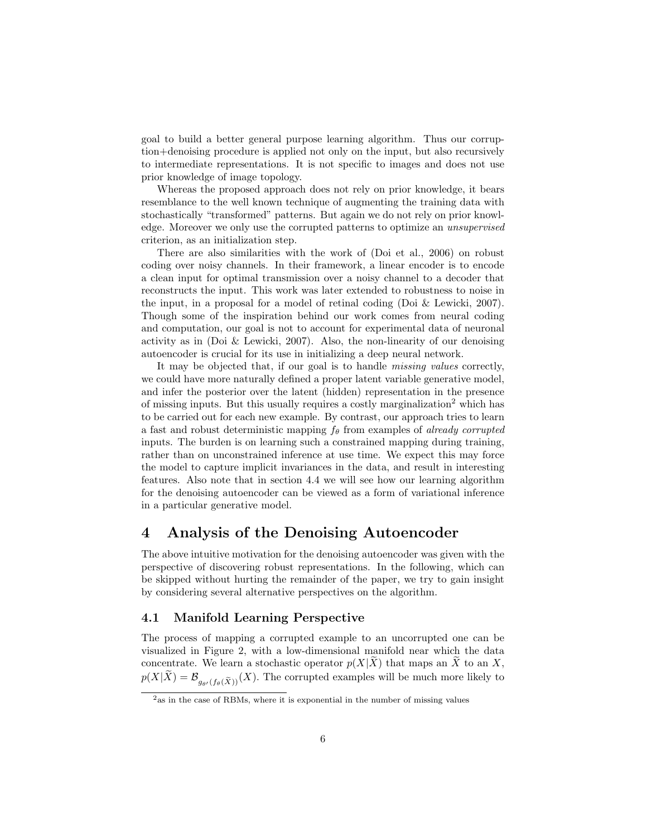goal to build a better general purpose learning algorithm. Thus our corruption+denoising procedure is applied not only on the input, but also recursively to intermediate representations. It is not specific to images and does not use prior knowledge of image topology.

Whereas the proposed approach does not rely on prior knowledge, it bears resemblance to the well known technique of augmenting the training data with stochastically "transformed" patterns. But again we do not rely on prior knowledge. Moreover we only use the corrupted patterns to optimize an unsupervised criterion, as an initialization step.

There are also similarities with the work of (Doi et al., 2006) on robust coding over noisy channels. In their framework, a linear encoder is to encode a clean input for optimal transmission over a noisy channel to a decoder that reconstructs the input. This work was later extended to robustness to noise in the input, in a proposal for a model of retinal coding (Doi & Lewicki, 2007). Though some of the inspiration behind our work comes from neural coding and computation, our goal is not to account for experimental data of neuronal activity as in (Doi  $&$  Lewicki, 2007). Also, the non-linearity of our denoising autoencoder is crucial for its use in initializing a deep neural network.

It may be objected that, if our goal is to handle missing values correctly, we could have more naturally defined a proper latent variable generative model, and infer the posterior over the latent (hidden) representation in the presence of missing inputs. But this usually requires a costly marginalization<sup>2</sup> which has to be carried out for each new example. By contrast, our approach tries to learn a fast and robust deterministic mapping  $f_{\theta}$  from examples of *already corrupted* inputs. The burden is on learning such a constrained mapping during training, rather than on unconstrained inference at use time. We expect this may force the model to capture implicit invariances in the data, and result in interesting features. Also note that in section 4.4 we will see how our learning algorithm for the denoising autoencoder can be viewed as a form of variational inference in a particular generative model.

# 4 Analysis of the Denoising Autoencoder

The above intuitive motivation for the denoising autoencoder was given with the perspective of discovering robust representations. In the following, which can be skipped without hurting the remainder of the paper, we try to gain insight by considering several alternative perspectives on the algorithm.

### 4.1 Manifold Learning Perspective

The process of mapping a corrupted example to an uncorrupted one can be visualized in Figure 2, with a low-dimensional manifold near which the data concentrate. We learn a stochastic operator  $p(X|X)$  that maps an X to an X,  $p(X|\widetilde{X}) = \mathcal{B}_{q_{\alpha\ell}(f_{\beta}(\widetilde{X}))}(X)$ . The corrupted examples will be much more likely to

<sup>&</sup>lt;sup>2</sup>as in the case of RBMs, where it is exponential in the number of missing values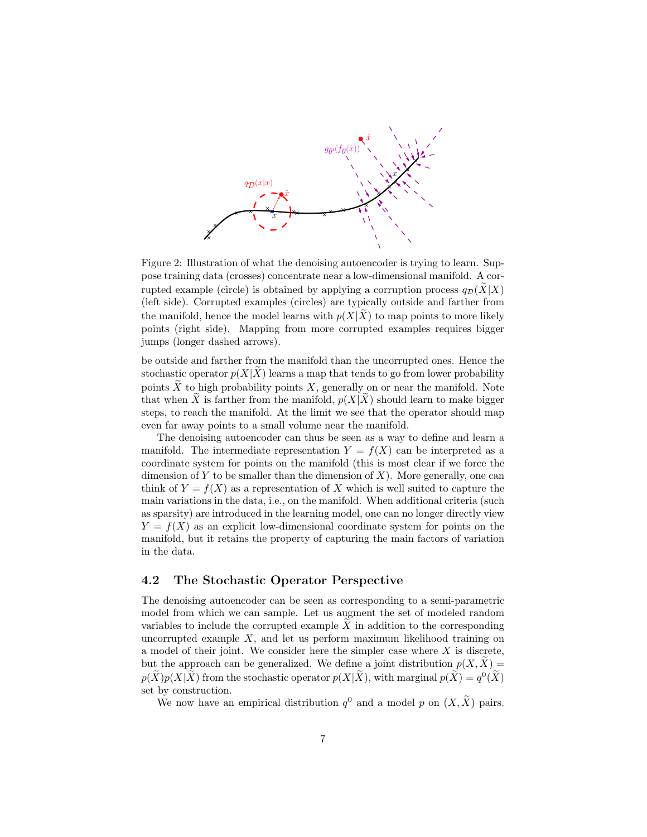

Figure 2: Illustration of what the denoising autoencoder is trying to learn. Suppose training data (crosses) concentrate near a low-dimensional manifold. A corrupted example (circle) is obtained by applying a corruption process  $q_{\mathcal{D}}(X|X)$ (left side). Corrupted examples (circles) are typically outside and farther from the manifold, hence the model learns with  $p(X|\tilde{X})$  to map points to more likely points (right side). Mapping from more corrupted examples requires bigger jumps (longer dashed arrows).

be outside and farther from the manifold than the uncorrupted ones. Hence the stochastic operator  $p(X|X)$  learns a map that tends to go from lower probability points  $\widetilde{X}$  to high probability points X, generally on or near the manifold. Note that when  $\tilde{X}$  is farther from the manifold,  $p(X|\tilde{X})$  should learn to make bigger steps, to reach the manifold. At the limit we see that the operator should map even far away points to a small volume near the manifold.

The denoising autoencoder can thus be seen as a way to define and learn a manifold. The intermediate representation  $Y = f(X)$  can be interpreted as a coordinate system for points on the manifold (this is most clear if we force the dimension of Y to be smaller than the dimension of  $X$ ). More generally, one can think of  $Y = f(X)$  as a representation of X which is well suited to capture the main variations in the data, i.e., on the manifold. When additional criteria (such as sparsity) are introduced in the learning model, one can no longer directly view  $Y = f(X)$  as an explicit low-dimensional coordinate system for points on the manifold, but it retains the property of capturing the main factors of variation in the data.

#### 4.2 The Stochastic Operator Perspective

The denoising autoencoder can be seen as corresponding to a semi-parametric model from which we can sample. Let us augment the set of modeled random variables to include the corrupted example  $X$  in addition to the corresponding uncorrupted example  $X$ , and let us perform maximum likelihood training on a model of their joint. We consider here the simpler case where  $X$  is discrete, but the approach can be generalized. We define a joint distribution  $p(X, X) =$  $p(\tilde{X})p(X|\tilde{X})$  from the stochastic operator  $p(X|\tilde{X})$ , with marginal  $p(\tilde{X}) = q^0(\tilde{X})$ set by construction.

We now have an empirical distribution  $q^0$  and a model p on  $(X, \tilde{X})$  pairs.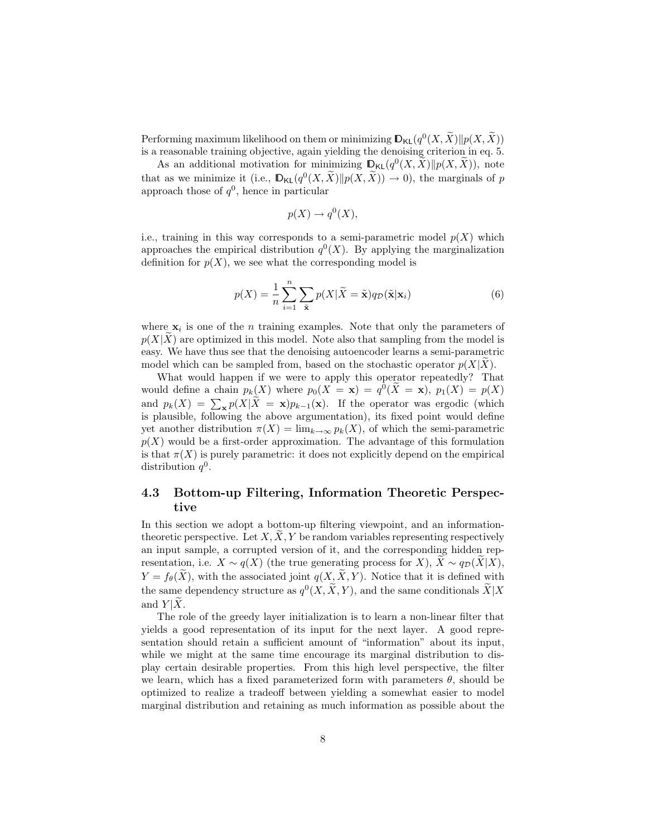Performing maximum likelihood on them or minimizing  $\mathbb{D}_{\mathsf{KL}}(q^0(X, \tilde{X}) \| p(X, \tilde{X}))$ is a reasonable training objective, again yielding the denoising criterion in eq. 5.

As an additional motivation for minimizing  $\mathbb{D}_{\mathsf{KL}}(q^0(X, \tilde{X}) || p(X, \tilde{X}))$ , note that as we minimize it (i.e.,  $\mathbb{D}_{\mathsf{KL}}(q^0(X,\tilde{X})||p(X,\tilde{X})) \to 0$ ), the marginals of p approach those of  $q^0$ , hence in particular

$$
p(X) \to q^0(X),
$$

i.e., training in this way corresponds to a semi-parametric model  $p(X)$  which approaches the empirical distribution  $q^0(X)$ . By applying the marginalization definition for  $p(X)$ , we see what the corresponding model is

$$
p(X) = \frac{1}{n} \sum_{i=1}^{n} \sum_{\tilde{\mathbf{x}}} p(X|\tilde{X} = \tilde{\mathbf{x}}) q_{\mathcal{D}}(\tilde{\mathbf{x}}|\mathbf{x}_i)
$$
(6)

where  $x_i$  is one of the *n* training examples. Note that only the parameters of  $p(X|\tilde{X})$  are optimized in this model. Note also that sampling from the model is easy. We have thus see that the denoising autoencoder learns a semi-parametric model which can be sampled from, based on the stochastic operator  $p(X|X)$ .

What would happen if we were to apply this operator repeatedly? That would define a chain  $p_k(X)$  where  $p_0(X = x) = q^0(\tilde{X} = x)$ ,  $p_1(X) = p(X)$ and  $p_k(X) = \sum_{\mathbf{x}} p(X|X = \mathbf{x})p_{k-1}(\mathbf{x})$ . If the operator was ergodic (which is plausible, following the above argumentation), its fixed point would define yet another distribution  $\pi(X) = \lim_{k \to \infty} p_k(X)$ , of which the semi-parametric  $p(X)$  would be a first-order approximation. The advantage of this formulation is that  $\pi(X)$  is purely parametric: it does not explicitly depend on the empirical distribution  $q^0$ .

### 4.3 Bottom-up Filtering, Information Theoretic Perspective

In this section we adopt a bottom-up filtering viewpoint, and an informationtheoretic perspective. Let  $X, X, Y$  be random variables representing respectively an input sample, a corrupted version of it, and the corresponding hidden representation, i.e.  $X \sim q(X)$  (the true generating process for X),  $\tilde{X} \sim q_{\mathcal{D}}(X|X)$ ,  $Y = f_{\theta}(\tilde{X})$ , with the associated joint  $q(X, \tilde{X}, Y)$ . Notice that it is defined with the same dependency structure as  $q^{0}(X, \tilde{X}, Y)$ , and the same conditionals  $\tilde{X} | X$ and  $Y|\tilde{X}$ .

The role of the greedy layer initialization is to learn a non-linear filter that yields a good representation of its input for the next layer. A good representation should retain a sufficient amount of "information" about its input, while we might at the same time encourage its marginal distribution to display certain desirable properties. From this high level perspective, the filter we learn, which has a fixed parameterized form with parameters  $\theta$ , should be optimized to realize a tradeoff between yielding a somewhat easier to model marginal distribution and retaining as much information as possible about the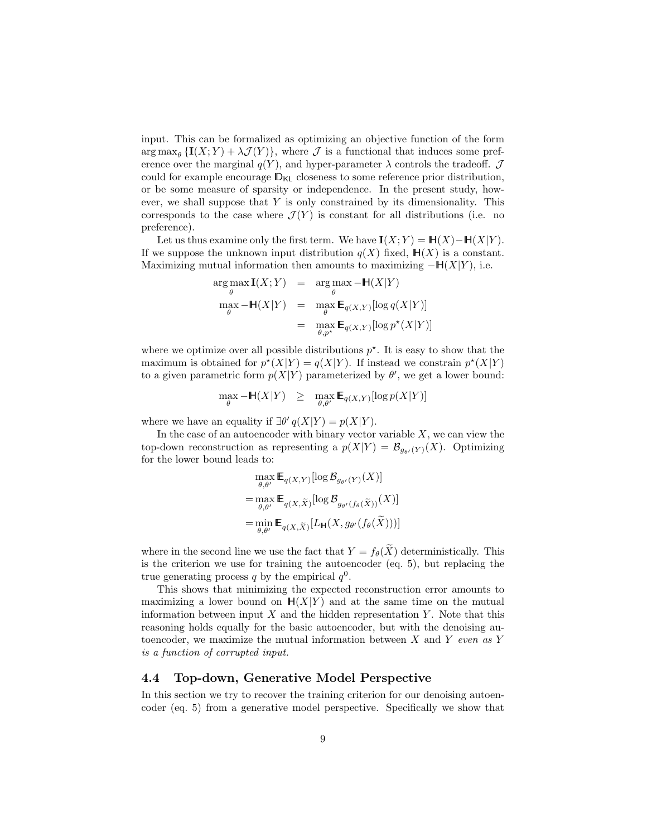input. This can be formalized as optimizing an objective function of the form  $\arg \max_{\theta} \{I(X;Y) + \lambda \mathcal{J}(Y)\}\$ , where  $\mathcal J$  is a functional that induces some preference over the marginal  $q(Y)$ , and hyper-parameter  $\lambda$  controls the tradeoff.  $\mathcal J$ could for example encourage  $\mathbb{D}_{\mathsf{KL}}$  closeness to some reference prior distribution, or be some measure of sparsity or independence. In the present study, however, we shall suppose that  $Y$  is only constrained by its dimensionality. This corresponds to the case where  $\mathcal{J}(Y)$  is constant for all distributions (i.e. no preference).

Let us thus examine only the first term. We have  $\mathbf{I}(X; Y) = \mathbb{H}(X) - \mathbb{H}(X|Y)$ . If we suppose the unknown input distribution  $q(X)$  fixed,  $\mathbb{H}(X)$  is a constant. Maximizing mutual information then amounts to maximizing  $-\mathbb{H}(X|Y)$ , i.e.

$$
\arg \max_{\theta} \mathbf{I}(X;Y) = \arg \max_{\theta} -\mathbb{H}(X|Y)
$$
  
\n
$$
\max_{\theta} -\mathbb{H}(X|Y) = \max_{\theta} \mathbb{E}_{q(X,Y)}[\log q(X|Y)]
$$
  
\n
$$
= \max_{\theta, p^*} \mathbb{E}_{q(X,Y)}[\log p^*(X|Y)]
$$

where we optimize over all possible distributions  $p^*$ . It is easy to show that the maximum is obtained for  $p^*(X|Y) = q(X|Y)$ . If instead we constrain  $p^*(X|Y)$ to a given parametric form  $p(X|Y)$  parameterized by  $\theta'$ , we get a lower bound:

 $\max_{\theta} -\mathbb{H}(X|Y) \geq \max_{\theta,\theta'} \mathbb{E}_{q(X,Y)}[\log p(X|Y)]$ 

where we have an equality if  $\exists \theta' q(X|Y) = p(X|Y)$ .

In the case of an autoencoder with binary vector variable  $X$ , we can view the top-down reconstruction as representing a  $p(X|Y) = \mathcal{B}_{q_{\alpha}(Y)}(X)$ . Optimizing for the lower bound leads to:

$$
\max_{\theta,\theta'} \mathbf{E}_{q(X,Y)}[\log \mathcal{B}_{g_{\theta'}(Y)}(X)]
$$
  
= 
$$
\max_{\theta,\theta'} \mathbf{E}_{q(X,\widetilde{X})}[\log \mathcal{B}_{g_{\theta'}(f_{\theta}(\widetilde{X}))}(X)]
$$
  
= 
$$
\min_{\theta,\theta'} \mathbf{E}_{q(X,\widetilde{X})}[L_{\mathbf{H}}(X,g_{\theta'}(f_{\theta}(\widetilde{X})))]
$$

where in the second line we use the fact that  $Y = f_{\theta}(\widetilde{X})$  deterministically. This is the criterion we use for training the autoencoder (eq. 5), but replacing the true generating process q by the empirical  $q^0$ .

This shows that minimizing the expected reconstruction error amounts to maximizing a lower bound on  $H(X|Y)$  and at the same time on the mutual information between input  $X$  and the hidden representation  $Y$ . Note that this reasoning holds equally for the basic autoencoder, but with the denoising autoencoder, we maximize the mutual information between  $X$  and  $Y$  even as  $Y$ is a function of corrupted input.

### 4.4 Top-down, Generative Model Perspective

In this section we try to recover the training criterion for our denoising autoencoder (eq. 5) from a generative model perspective. Specifically we show that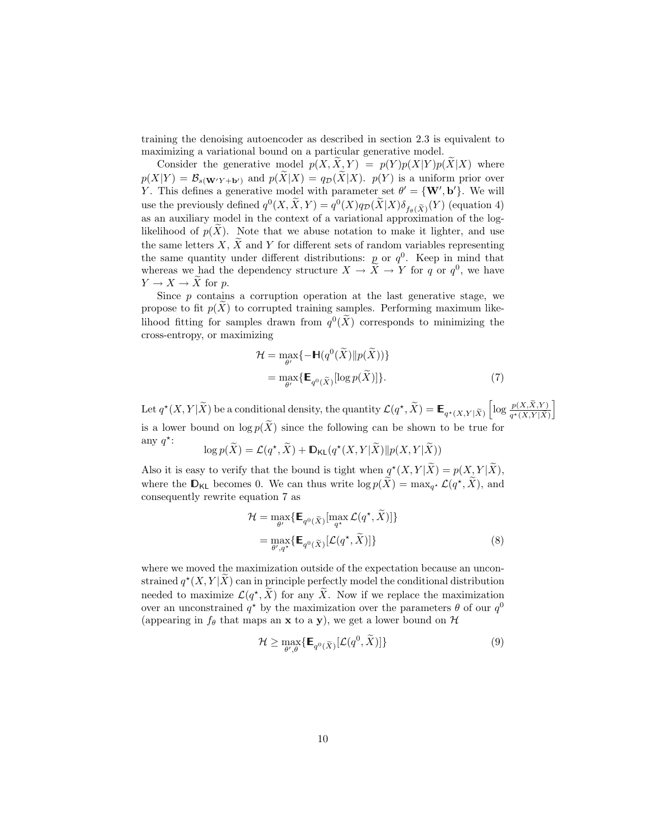training the denoising autoencoder as described in section 2.3 is equivalent to maximizing a variational bound on a particular generative model.

Consider the generative model  $p(X, X, Y) = p(Y) p(X|Y) p(X|X)$  where  $p(X|Y) = \mathcal{B}_{s(\mathbf{W}'Y + \mathbf{b}')$  and  $p(\widetilde{X}|X) = q_{\mathcal{D}}(\widetilde{X}|X)$ .  $p(Y)$  is a uniform prior over Y. This defines a generative model with parameter set  $\theta' = \{W', b'\}$ . We will use the previously defined  $q^0(X, \tilde{X}, Y) = q^0(X)q_{\mathcal{D}}(\tilde{X}|X)\delta_{f_{\theta}(\tilde{X})}(Y)$  (equation 4) as an auxiliary model in the context of a variational approximation of the loglikelihood of  $p(X)$ . Note that we abuse notation to make it lighter, and use the same letters X,  $\widetilde{X}$  and Y for different sets of random variables representing the same quantity under different distributions:  $p$  or  $q^0$ . Keep in mind that whereas we had the dependency structure  $X \to \tilde{X} \to Y$  for q or  $q^0$ , we have  $Y \to X \to X$  for p.

Since  $p$  contains a corruption operation at the last generative stage, we propose to fit  $p(X)$  to corrupted training samples. Performing maximum likelihood fitting for samples drawn from  $q^0(\tilde{X})$  corresponds to minimizing the cross-entropy, or maximizing

$$
\mathcal{H} = \max_{\theta'} \{ -\mathbb{H}(q^{0}(\widetilde{X})||p(\widetilde{X})) \}
$$
  
= 
$$
\max_{\theta'} \{ \mathbb{E}_{q^{0}(\widetilde{X})}[\log p(\widetilde{X})] \}. \tag{7}
$$

i

Let  $q^*(X, Y | \tilde{X})$  be a conditional density, the quantity  $\mathcal{L}(q^*, \tilde{X}) = \mathbb{E}_{q^*(X, Y | \tilde{X})}$  $\left[\log \frac{p(X, \tilde{X}, Y)}{q^*(X, Y | \tilde{X})}\right]$ is a lower bound on  $\log p(\tilde{X})$  since the following can be shown to be true for any  $q^*$ :

$$
\log p(\widetilde{X}) = \mathcal{L}(q^*, \widetilde{X}) + \mathbb{D}_{\mathsf{KL}}(q^*(X, Y | \widetilde{X}) || p(X, Y | \widetilde{X}))
$$

Also it is easy to verify that the bound is tight when  $q^*(X,Y|\tilde{X}) = p(X,Y|\tilde{X}),$ where the  $\mathbb{D}_{\mathsf{KL}}$  becomes 0. We can thus write  $\log p(\tilde{X}) = \max_{q^*} \mathcal{L}(q^*, \tilde{X})$ , and consequently rewrite equation 7 as

$$
\mathcal{H} = \max_{\theta'} \{ \mathbf{E}_{q^0(\tilde{X})}[\max_{q^*} \mathcal{L}(q^*, \tilde{X})] \}
$$

$$
= \max_{\theta', q^*} \{ \mathbf{E}_{q^0(\tilde{X})}[\mathcal{L}(q^*, \tilde{X})] \}
$$
(8)

where we moved the maximization outside of the expectation because an unconstrained  $q^*(X, Y | \tilde{X})$  can in principle perfectly model the conditional distribution needed to maximize  $\mathcal{L}(q^*, \tilde{X})$  for any  $\tilde{X}$ . Now if we replace the maximization over an unconstrained  $q^*$  by the maximization over the parameters  $\theta$  of our  $q^0$ (appearing in  $f_{\theta}$  that maps an **x** to a **y**), we get a lower bound on  $\mathcal{H}$ 

$$
\mathcal{H} \ge \max_{\theta',\theta} \{ \mathbb{E}_{q^0(\widetilde{X})} [\mathcal{L}(q^0, \widetilde{X})] \} \tag{9}
$$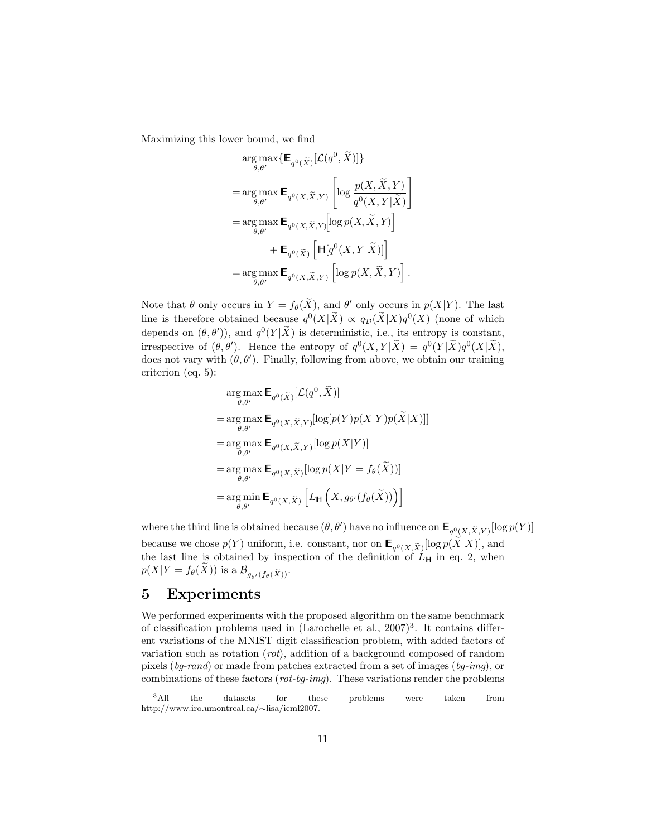Maximizing this lower bound, we find

$$
\arg\max_{\theta,\theta'} \{ \mathbf{E}_{q^0(\tilde{X})}[\mathcal{L}(q^0,\tilde{X})] \}
$$
\n
$$
= \arg\max_{\theta,\theta'} \mathbf{E}_{q^0(X,\tilde{X},Y)} \left[ \log \frac{p(X,\tilde{X},Y)}{q^0(X,Y|\tilde{X})} \right]
$$
\n
$$
= \arg\max_{\theta,\theta'} \mathbf{E}_{q^0(X,\tilde{X},Y)} [\log p(X,\tilde{X},Y)]
$$
\n
$$
+ \mathbf{E}_{q^0(\tilde{X})} \left[ \mathbf{H}[q^0(X,Y|\tilde{X})] \right]
$$
\n
$$
= \arg\max_{\theta,\theta'} \mathbf{E}_{q^0(X,\tilde{X},Y)} \left[ \log p(X,\tilde{X},Y) \right].
$$

Note that  $\theta$  only occurs in  $Y = f_{\theta}(\widetilde{X})$ , and  $\theta'$  only occurs in  $p(X|Y)$ . The last line is therefore obtained because  $q^0(X|\tilde{X}) \propto q_{\mathcal{D}}(\tilde{X}|X)q^0(X)$  (none of which depends on  $(\theta, \theta')$ , and  $q^0(Y|\tilde{X})$  is deterministic, i.e., its entropy is constant, irrespective of  $(\theta, \theta')$ . Hence the entropy of  $q^0(X, Y | \tilde{X}) = q^0(Y | \tilde{X}) q^0(X | \tilde{X})$ , does not vary with  $(\theta, \theta')$ . Finally, following from above, we obtain our training criterion (eq. 5):

$$
\arg \max_{\theta, \theta'} \mathbf{E}_{q^0(\tilde{X})}[\mathcal{L}(q^0, \tilde{X})]
$$
\n
$$
= \arg \max_{\theta, \theta'} \mathbf{E}_{q^0(X, \tilde{X}, Y)}[\log[p(Y)p(X|Y)p(\tilde{X}|X)]]
$$
\n
$$
= \arg \max_{\theta, \theta'} \mathbf{E}_{q^0(X, \tilde{X}, Y)}[\log p(X|Y)]
$$
\n
$$
= \arg \max_{\theta, \theta'} \mathbf{E}_{q^0(X, \tilde{X})}[\log p(X|Y = f_{\theta}(\tilde{X}))]
$$
\n
$$
= \arg \min_{\theta, \theta'} \mathbf{E}_{q^0(X, \tilde{X})} [L_{\mathbf{H}}(X, g_{\theta'}(f_{\theta}(\tilde{X})))]
$$

where the third line is obtained because  $(\theta, \theta')$  have no influence on  $\mathsf{E}_{q^0_{\leq} (X, \widetilde{X}, Y)}[\log p(Y)]$ because we chose  $p(Y)$  uniform, i.e. constant, nor on  $\mathbb{E}_{q^0(X,\tilde{X})}[\log p(X|X)],$  and the last line is obtained by inspection of the definition of  $L_H$  in eq. 2, when  $p(X|Y = f_{\theta}(\widetilde{X}))$  is a  $\mathcal{B}_{g_{\theta'}(f_{\theta}(\widetilde{X}))}$ .

# 5 Experiments

We performed experiments with the proposed algorithm on the same benchmark of classification problems used in  $(Larcchelle et al., 2007)<sup>3</sup>$ . It contains different variations of the MNIST digit classification problem, with added factors of variation such as rotation (rot), addition of a background composed of random pixels (bg-rand) or made from patches extracted from a set of images (bg-img), or combinations of these factors (rot-bg-img). These variations render the problems

<sup>&</sup>lt;sup>3</sup>All the datasets for these problems were taken from http://www.iro.umontreal.ca/∼lisa/icml2007.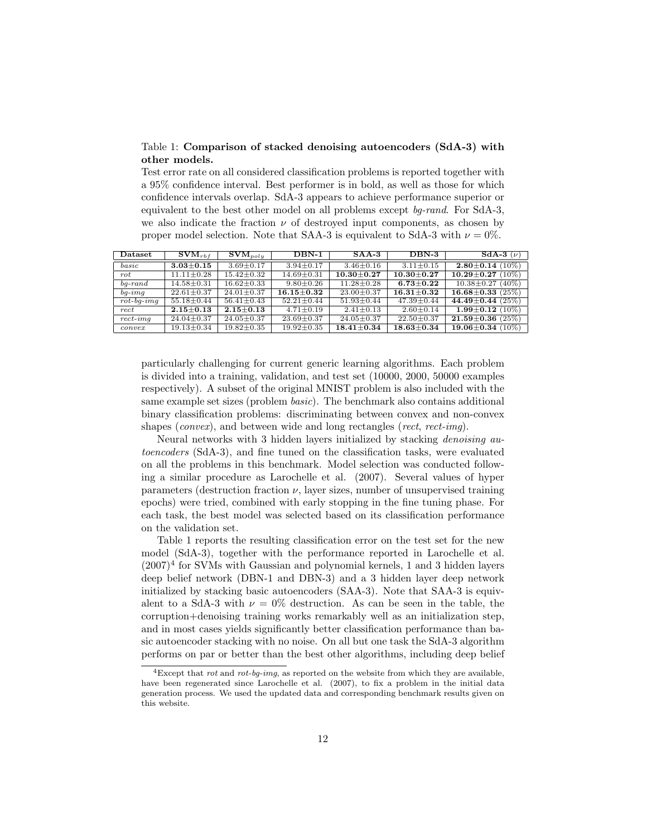Table 1: Comparison of stacked denoising autoencoders (SdA-3) with other models.

Test error rate on all considered classification problems is reported together with a 95% confidence interval. Best performer is in bold, as well as those for which confidence intervals overlap. SdA-3 appears to achieve performance superior or equivalent to the best other model on all problems except bg-rand. For SdA-3, we also indicate the fraction  $\nu$  of destroyed input components, as chosen by proper model selection. Note that SAA-3 is equivalent to SdA-3 with  $\nu = 0\%$ .

| Dataset              | $\textbf{SVM}_{rbf}$ | $\text{SVM}_{poly}$ | $DBN-1$          | $SAA-3$          | $DBN-3$          | SdA-3 $(\nu)$                    |
|----------------------|----------------------|---------------------|------------------|------------------|------------------|----------------------------------|
| $_{basic}$           | $3.03 \pm 0.15$      | $3.69 \pm 0.17$     | $3.94 \pm 0.17$  | $3.46 \pm 0.16$  | $3.11 \pm 0.15$  | $2.80 \pm 0.14$ (10%)            |
| $_{rot}$             | $11.11 \pm 0.28$     | $15.42 \pm 0.32$    | $14.69 \pm 0.31$ | $10.30 \pm 0.27$ | $10.30 \pm 0.27$ | $10.29 \!\pm\! 0.27$<br>$(10\%)$ |
| $ba$ -rand           | $14.58 \pm 0.31$     | $16.62 \pm 0.33$    | $9.80 \pm 0.26$  | $11.28 \pm 0.28$ | $6.73 + 0.22$    | $10.38 \pm 0.27$ (40%)           |
| $ba\text{-}imq$      | $22.61 \pm 0.37$     | $24.01 \pm 0.37$    | $16.15 \pm 0.32$ | $23.00 \pm 0.37$ | $16.31 \pm 0.32$ | $16.68 \pm 0.33$ (25%)           |
| $rot$ - $bq$ - $imq$ | $55.18 \pm 0.44$     | $56.41 \pm 0.43$    | $52.21 \pm 0.44$ | $51.93 \pm 0.44$ | $47.39 \pm 0.44$ | 44.49 $\pm$ 0.44 (25%)           |
| rect                 | $2.15 \pm 0.13$      | $2.15 \pm 0.13$     | $4.71 \pm 0.19$  | $2.41 \pm 0.13$  | $2.60 \pm 0.14$  | $1.99 \pm 0.12$ (10%)            |
| $rect\text{-}img$    | $24.04 \pm 0.37$     | $24.05 \pm 0.37$    | $23.69 \pm 0.37$ | $24.05 \pm 0.37$ | $22.50 \pm 0.37$ | $21.59 \pm 0.36$ (25%)           |
| convex               | $19.13 \pm 0.34$     | $19.82 \pm 0.35$    | $19.92 \pm 0.35$ | $18.41 \pm 0.34$ | $18.63 \pm 0.34$ | $19.06 \pm 0.34$ (10%)           |

particularly challenging for current generic learning algorithms. Each problem is divided into a training, validation, and test set (10000, 2000, 50000 examples respectively). A subset of the original MNIST problem is also included with the same example set sizes (problem basic). The benchmark also contains additional binary classification problems: discriminating between convex and non-convex shapes (convex), and between wide and long rectangles (rect, rect-imq).

Neural networks with 3 hidden layers initialized by stacking *denoising au*toencoders (SdA-3), and fine tuned on the classification tasks, were evaluated on all the problems in this benchmark. Model selection was conducted following a similar procedure as Larochelle et al. (2007). Several values of hyper parameters (destruction fraction  $\nu$ , layer sizes, number of unsupervised training epochs) were tried, combined with early stopping in the fine tuning phase. For each task, the best model was selected based on its classification performance on the validation set.

Table 1 reports the resulting classification error on the test set for the new model (SdA-3), together with the performance reported in Larochelle et al.  $(2007)^4$  for SVMs with Gaussian and polynomial kernels, 1 and 3 hidden layers deep belief network (DBN-1 and DBN-3) and a 3 hidden layer deep network initialized by stacking basic autoencoders (SAA-3). Note that SAA-3 is equivalent to a SdA-3 with  $\nu = 0\%$  destruction. As can be seen in the table, the corruption+denoising training works remarkably well as an initialization step, and in most cases yields significantly better classification performance than basic autoencoder stacking with no noise. On all but one task the SdA-3 algorithm performs on par or better than the best other algorithms, including deep belief

<sup>&</sup>lt;sup>4</sup>Except that *rot* and *rot-bq-imq*, as reported on the website from which they are available, have been regenerated since Larochelle et al. (2007), to fix a problem in the initial data generation process. We used the updated data and corresponding benchmark results given on this website.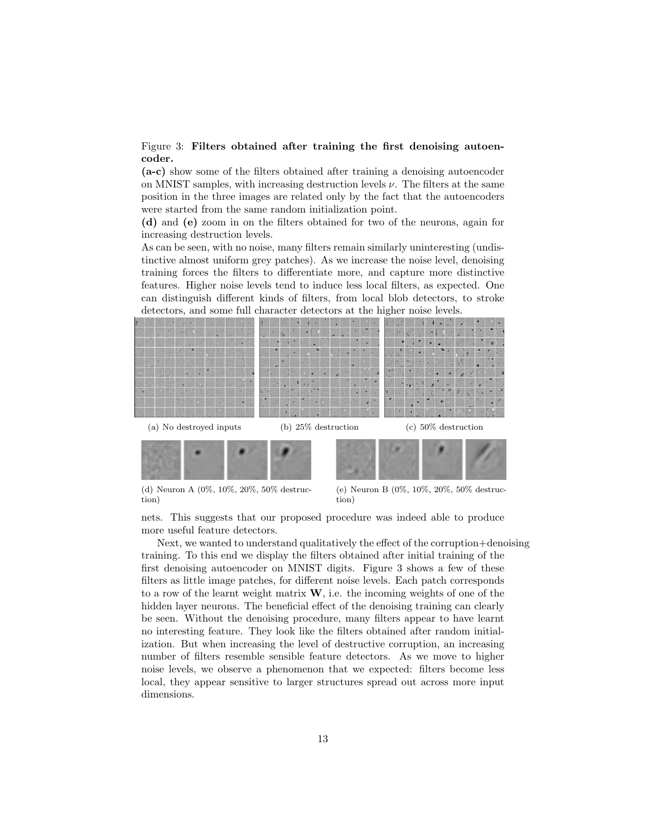#### Figure 3: Filters obtained after training the first denoising autoencoder.

(a-c) show some of the filters obtained after training a denoising autoencoder on MNIST samples, with increasing destruction levels  $\nu$ . The filters at the same position in the three images are related only by the fact that the autoencoders were started from the same random initialization point.

(d) and (e) zoom in on the filters obtained for two of the neurons, again for increasing destruction levels.

As can be seen, with no noise, many filters remain similarly uninteresting (undistinctive almost uniform grey patches). As we increase the noise level, denoising training forces the filters to differentiate more, and capture more distinctive features. Higher noise levels tend to induce less local filters, as expected. One can distinguish different kinds of filters, from local blob detectors, to stroke detectors, and some full character detectors at the higher noise levels.



(d) Neuron A (0%, 10%, 20%, 50% destruction)

(e) Neuron B (0%, 10%, 20%, 50% destruction)

nets. This suggests that our proposed procedure was indeed able to produce more useful feature detectors.

Next, we wanted to understand qualitatively the effect of the corruption+denoising training. To this end we display the filters obtained after initial training of the first denoising autoencoder on MNIST digits. Figure 3 shows a few of these filters as little image patches, for different noise levels. Each patch corresponds to a row of the learnt weight matrix  $W$ , i.e. the incoming weights of one of the hidden layer neurons. The beneficial effect of the denoising training can clearly be seen. Without the denoising procedure, many filters appear to have learnt no interesting feature. They look like the filters obtained after random initialization. But when increasing the level of destructive corruption, an increasing number of filters resemble sensible feature detectors. As we move to higher noise levels, we observe a phenomenon that we expected: filters become less local, they appear sensitive to larger structures spread out across more input dimensions.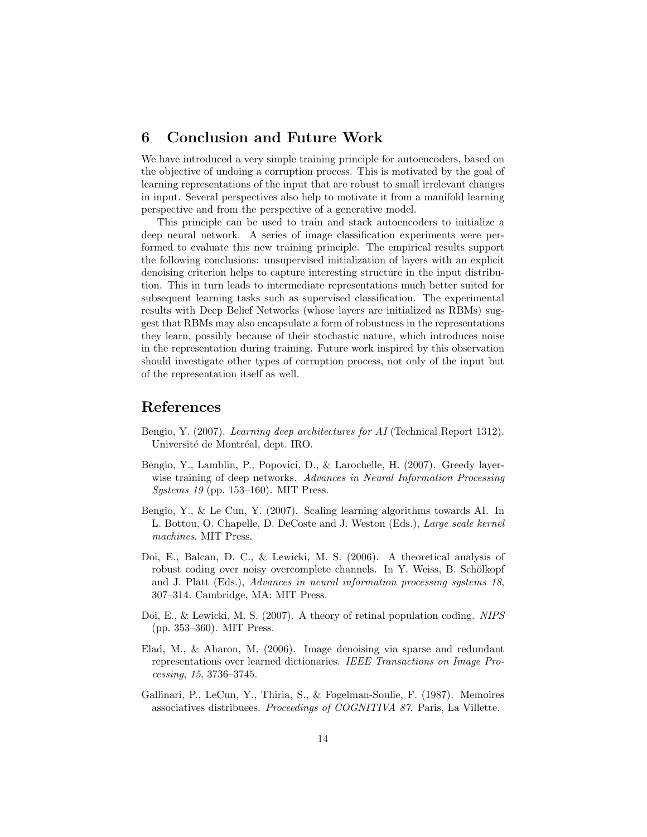# 6 Conclusion and Future Work

We have introduced a very simple training principle for autoencoders, based on the objective of undoing a corruption process. This is motivated by the goal of learning representations of the input that are robust to small irrelevant changes in input. Several perspectives also help to motivate it from a manifold learning perspective and from the perspective of a generative model.

This principle can be used to train and stack autoencoders to initialize a deep neural network. A series of image classification experiments were performed to evaluate this new training principle. The empirical results support the following conclusions: unsupervised initialization of layers with an explicit denoising criterion helps to capture interesting structure in the input distribution. This in turn leads to intermediate representations much better suited for subsequent learning tasks such as supervised classification. The experimental results with Deep Belief Networks (whose layers are initialized as RBMs) suggest that RBMs may also encapsulate a form of robustness in the representations they learn, possibly because of their stochastic nature, which introduces noise in the representation during training. Future work inspired by this observation should investigate other types of corruption process, not only of the input but of the representation itself as well.

# References

- Bengio, Y. (2007). Learning deep architectures for AI (Technical Report 1312). Université de Montréal, dept. IRO.
- Bengio, Y., Lamblin, P., Popovici, D., & Larochelle, H. (2007). Greedy layerwise training of deep networks. Advances in Neural Information Processing *Systems 19* (pp. 153–160). MIT Press.
- Bengio, Y., & Le Cun, Y. (2007). Scaling learning algorithms towards AI. In L. Bottou, O. Chapelle, D. DeCoste and J. Weston (Eds.), Large scale kernel machines. MIT Press.
- Doi, E., Balcan, D. C., & Lewicki, M. S. (2006). A theoretical analysis of robust coding over noisy overcomplete channels. In Y. Weiss, B. Schölkopf and J. Platt (Eds.), Advances in neural information processing systems 18, 307–314. Cambridge, MA: MIT Press.
- Doi, E., & Lewicki, M. S. (2007). A theory of retinal population coding. NIPS (pp. 353–360). MIT Press.
- Elad, M., & Aharon, M. (2006). Image denoising via sparse and redundant representations over learned dictionaries. IEEE Transactions on Image Processing, 15, 3736–3745.
- Gallinari, P., LeCun, Y., Thiria, S., & Fogelman-Soulie, F. (1987). Memoires associatives distribuees. Proceedings of COGNITIVA 87. Paris, La Villette.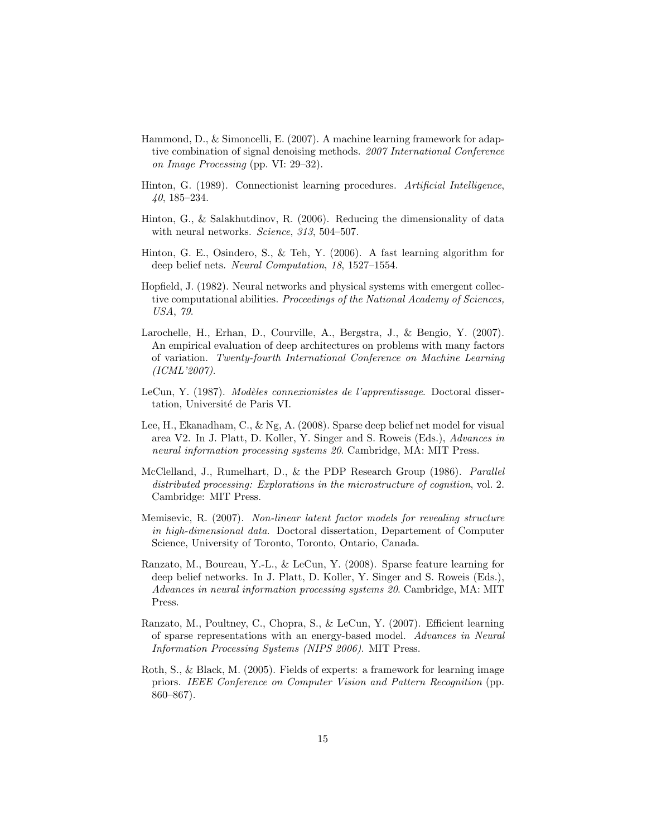- Hammond, D., & Simoncelli, E. (2007). A machine learning framework for adaptive combination of signal denoising methods. 2007 International Conference on Image Processing (pp. VI: 29–32).
- Hinton, G. (1989). Connectionist learning procedures. Artificial Intelligence, 40, 185–234.
- Hinton, G., & Salakhutdinov, R. (2006). Reducing the dimensionality of data with neural networks. Science, 313, 504-507.
- Hinton, G. E., Osindero, S., & Teh, Y. (2006). A fast learning algorithm for deep belief nets. Neural Computation, 18, 1527–1554.
- Hopfield, J. (1982). Neural networks and physical systems with emergent collective computational abilities. Proceedings of the National Academy of Sciences, USA, 79.
- Larochelle, H., Erhan, D., Courville, A., Bergstra, J., & Bengio, Y. (2007). An empirical evaluation of deep architectures on problems with many factors of variation. Twenty-fourth International Conference on Machine Learning (ICML'2007).
- LeCun, Y. (1987). Modèles connexionistes de l'apprentissage. Doctoral dissertation, Université de Paris VI.
- Lee, H., Ekanadham, C., & Ng, A. (2008). Sparse deep belief net model for visual area V2. In J. Platt, D. Koller, Y. Singer and S. Roweis (Eds.), Advances in neural information processing systems 20. Cambridge, MA: MIT Press.
- McClelland, J., Rumelhart, D., & the PDP Research Group (1986). Parallel distributed processing: Explorations in the microstructure of cognition, vol. 2. Cambridge: MIT Press.
- Memisevic, R. (2007). Non-linear latent factor models for revealing structure in high-dimensional data. Doctoral dissertation, Departement of Computer Science, University of Toronto, Toronto, Ontario, Canada.
- Ranzato, M., Boureau, Y.-L., & LeCun, Y. (2008). Sparse feature learning for deep belief networks. In J. Platt, D. Koller, Y. Singer and S. Roweis (Eds.), Advances in neural information processing systems 20. Cambridge, MA: MIT Press.
- Ranzato, M., Poultney, C., Chopra, S., & LeCun, Y. (2007). Efficient learning of sparse representations with an energy-based model. Advances in Neural Information Processing Systems (NIPS 2006). MIT Press.
- Roth, S., & Black, M. (2005). Fields of experts: a framework for learning image priors. IEEE Conference on Computer Vision and Pattern Recognition (pp. 860–867).